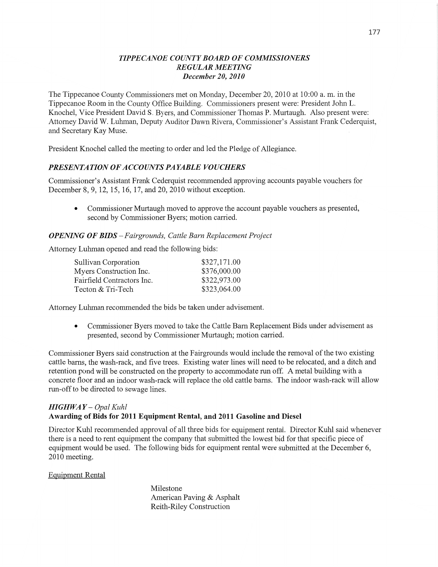### *T IPPE CANOE COUNT Y BOARD* OF *COMMISSIONERS REGULAR MEETING December* 20, *2010*

The Tippecanoe County Commissioners met on Monday, December 20, 2010 at **10:00** a. m. in the Tippecanoe Room in the County Office Building. Commissioners present were: President John L. Knochel, Vice President David S. Byers, and Commissioner Thomas P. Murtaugh. Also present were: Attorney David W. Luhman, Deputy Auditor Dawn Rivera, Commissioner's Assistant Frank Cederquist, and Secretary Kay Muse.

President Knochel called the meeting to order and led the Pledge of Allegiance.

### *PRESENTATION* OF *ACCOUNTS* PA *YABLE VOUCHERS*

Commissioner's Assistant Frank Cederquist recommended approving accounts payable vouchers for December 8, 9, 12, 15, 16, 17, and 20, 2010 without exception.

*0* Commissioner Murtaugh moved to approve the account payable vouchers as presented, second by Commissioner Byers; motion carried.

#### *OPENING* OF *BIDS* — *Fairgrounds, Cattle Barn Replacement Project*

Attorney Luhman opened and read the following bids:

| Sullivan Corporation       | \$327,171.00 |
|----------------------------|--------------|
| Myers Construction Inc.    | \$376,000.00 |
| Fairfield Contractors Inc. | \$322,973.00 |
| Tecton & Tri-Tech          | \$323,064.00 |

Attorney Luhman recommended the bids be taken under advisement.

**0** Commissioner Byers moved to take the Cattle Barn Replacement Bids under advisement as presented, second by Commissioner Murtaugh; motion carried.

Commissioner Byers said construction at the Fairgrounds would include the removal of the two existing cattle barns, the wash-rack, and five trees. Existing water lines will need to be relocated, and a ditch and retention pond will be constructed on the property to accommodate run off. **A** metal building with a concrete floor and an indoor wash-rack will replace the old cattle barns. The indoor wash-rack will allow run-off to be directed to sewage lines.

### *HIGHWA Y* — *Opal Kuhl*  Awarding of Bids for **2011 Equipment** Rental, and **2011 Gasoline** and **Diesel**

Director Kuhl recommended approval of all three bids for equipment rental. Director Kuhl said Whenever there is a need to rent equipment the company that submitted the lowest bid for that specific piece of equipment would be used. The following bids for equipment rental were submitted at the December 6, 2010 meeting.

Equipment Rental

Milestone American Paving & Asphalt Reith-Riley Construction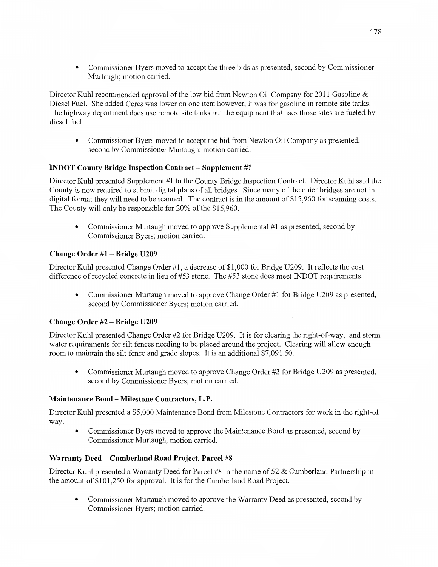**0** Commissioner Byers moved to accept the three bids as presented, second by Commissioner Murtaugh; motion carried.

Director Kuhl recommended approval of the low bid from Newton Oil Company for 2011 Gasoline & Diesel Fuel. She added Ceres was lower on one item however, it was for gasoline in remote site tanks. The highway department does use remote site tanks but the equipment that **uses** those sites are fueled by diesel fuel.

**0** Commissioner Byers moved to accept the bid from Newton Oil Company as presented, second by Commissioner Murtaugh; motion carried.

# **INDOT County Bridge Inspection Contract – Supplement #1**

Director Kuhl presented Supplement #1 to the County Bridge Inspection Contract. Director Kuhl said the County is now required to submit digital plans of all bridges. **Since** many of the older bridges are not in digital format they will need to be scanned. The contract is in the amount of \$15,960 for scanning costs. The County will only be responsible for 20% of the \$15,960.

**0** Commissioner Murtaugh moved to approve Supplemental #1 as presented, second by Commissioner Byers; motion carried.

# **Change Order** #1 *—* **Bridge U209**

Director Kuhl presented Change Order #1, **a** decrease of \$1,000 for Bridge U209. It reflects the cost difference of recycled concrete in lieu of #53 stone. The #53 stone does meet INDOT requirements.

**0** Commissioner Murtaugh moved to approve Change Order #1 for Bridge U209 as presented, second by Commissioner Byers; motion carried.

### **Change Order** #2 **— Bridge U209**

Director Kuhl presented Change Order #2 for Bridge U209. It is for clearing the right-of-way, and storm water requirements for silt fences needing to be placed around the project. Clearing will allow enough room to **maintain** the silt fence and grade slopes. It is an **additional** \$7,091.50.

**0** Commissioner Murtaugh **moved** to approve Change Order #2 for Bridge U209 as presented, second by Commissioner Byers; motion carried.

### **Maintenance Bond — Milestone Contractors, L.P.**

Director Kuhl presented a \$5,000 Maintenance Bond from Milestone Contractors for work in the right—of way.

**0** Commissioner Byers moved to approve the Maintenance Bond as presented, **second** by Commissioner Murtaugh; motion carried.

# **Warranty Deed — Cumberland Road Project, Parcel** #8

Director Kuhl presented a Warranty Deed for Parcel #8 in the name of 52 & Cumberland Partnership in the amount of \$101,250 for approval. It is for the Cumberland Road Project.

• Commissioner Murtaugh moved to approve the Warranty Deed as presented, second by Commissioner Byers; motion carried.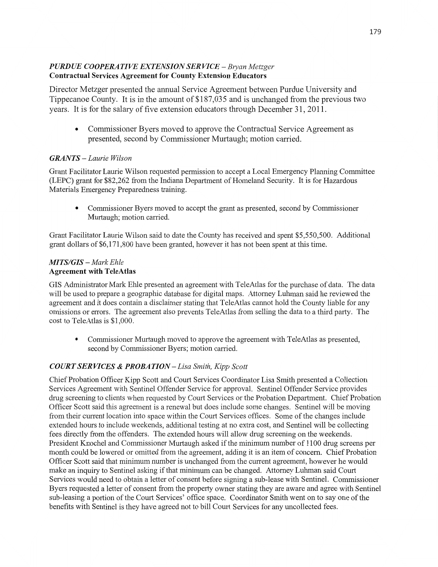### *PURD* UE *COOPERATIVE EXTENSION* SER *VICE* — *Bryan Metzger*  **Contractual Services Agreement** for **County Extension Educators**

Director Metzger presented the annual Service Agreement between Purdue University and Tippecanoe County. It is in the amount of \$187,035 and is unchanged from the previous two years. It is for the salary of five extension educators through December 31, 2011.

• Commissioner Byers moved to approve the Contractual Service Agreement as presented, second by Commissioner Murtaugh; motion carried.

# *GRANTS* **—** *Laurie Wilson*

Grant Facilitator Laurie Wilson requested permission to accept a Local Emergency Planning Committee (LEPC) grant for \$82,262 fiom the Indiana Department of Homeland Security. It is for Hazardous Materials Emergency Preparedness training.

**0** Commissioner Byers moved to accept the grant as presented, second by Commissioner Murtaugh; motion carried.

Grant Facilitator Laurie Wilson said to date the County has received and spent \$5,550,500. Additional grant dollars of \$6,171,800 have **been** granted, however it has not been spent at this time.

### *MTS/GIS* **—** *Mark Ehle*  **Agreement** with **TeleAtlas**

GIS Administrator Mark Ehle presented an agreement with TeleAtlas for the purchase of data. The data will be used to prepare a geographic database for digital maps. Attorney Luhman said he reviewed the agreement and it does contain a disclaimer stating that **TeleAtlas** cannot hold the County liable for any omissions or errors. The agreement also prevents TeleAtlas from selling the data to a third party. The cost to TeleAtlas is \$1,000.

**0** Commissioner Murtaugh moved to approve the agreement with TeleAtlas as presented, second by Commissioner Byers; motion carried.

# *COURT* SER *VICES & PROBA TION—Lisa Smith, Kipp Scott*

Chief Probation Officer Kipp Scott and Court Services Coordinator Lisa Smith presented **a** Collection Services Agreement with Sentinel Offender Service for approval. Sentinel Offender Service provides drug screening to clients when requested by Court Services or the Probation Department. Chief Probation Officer Scott said this agreement is a renewal but does include some changes. Sentinel will be moving from their current location into space within the Court Services offices. Some of the changes include extended hours to include weekends, **additional** testing at no extra cost, and Sentinel will be collecting fees directly from the offenders. The extended hours will allow drug screening on the weekends. President Knochel and Commissioner Murtaugh asked if the minimum number of 1100 drug screens per month could be lowered or omitted from the agreement, adding it is an item of concern. **Chief** Probation Officer Scott said that minimum number is unchanged from the current agreement, however he would make an inquiry to Sentinel asking if that minimum can be changed. Attorney Luhman said Court Services would need to obtain a letter of consent before signing **a** sub-lease with Sentinel. Commissioner Byers requested a letter of consent from the property owner stating they are aware and agree with **Sentinel**  sub—leasing a portion of the Court Services' office space. Coordinator Smith went on to say one of the benefits with Sentinel is they have agreed not to bill Court Services for any uncollected fees.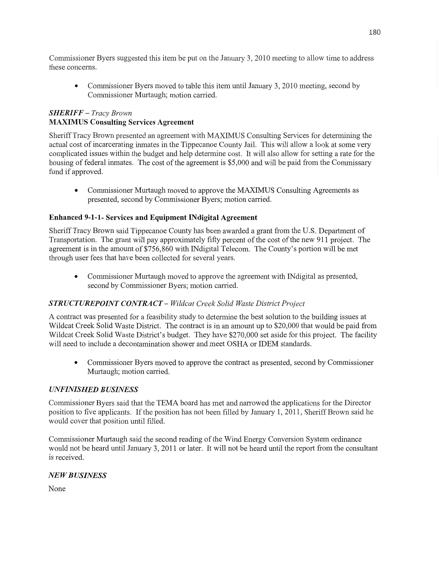Commissioner Byers suggested this item be put on the January 3, 2010 meeting to allow time to address these concerns.

**0** Commissioner Byers moved to table this item until January 3, 2010 meeting, second by Commissioner Murtaugh; motion carn'ed.

### *SHERIFF — Tracy Brown*  **MAX11VIUS** Consulting **Services Agreement**

Sheriff Tracy Brown presented an agreement with MAXIMUS Consulting Services for determining the actual cost of incarcerating inmates in the Tippecanoe County Jail. This will allow a look at some very complicated issues within the budget and help determine cost. It will also allow for setting a rate for the housing of federal inmates. The **cost** of the agreement is \$5,000 and will be paid from the Commissary fund if approved.

**0** Commissioner Murtaugh moved to approve the MAXIMUS Consulting Agreements as presented, second by Commissioner Byers; motion carried.

### **Enhanced 9-1-1- Services** and **Equipment** INdigital **Agreement**

Sheriff Tracy Brown said Tippecanoe County has been awarded a grant from the US. Department of Transportation. The grant will pay approximately fifty percent of the cost of the new 911 project. The agreement is in the amount of \$756,860 with IN digital Telecom. The County's portion will be met through user fees **that** have been collected for several years.

**0** Commissioner Murtaugh moved to approve the agreement with lNdigital as presented, second by Commissioner Byers; motion carried.

### STR UC *T UREPOINT CONTRA* CT **—** *Wildcat Creek Solid Waste District Project*

A contract was presented for a feasibility study to determine the best solution to the building **issues** at Wildcat Creek Solid Waste District. The contract is in an amount up to \$20,000 that would be paid from Wildcat Creek Solid Waste District's budget. They have \$270,000 set aside for *this* project. The facility will **need** to include a decontamination shower and meet **OSHA** or IDEM standards.

**0** Commissioner Byers moved to approve the contract as presented, second by **Commissioner**  Murtaugh; motion carried.

### *UNFINISHED B USINESS*

Commissioner Byers said that the **TEMA** board has met and narrowed the applications for the Director position to five applicants. If the position has not been filled by January 1, 2011, Sheriff Brown said he would cover that position until filled.

Commissioner Murtaugh said the second reading of the Wind Energy Conversion System ordinance would not be heard until January 3, 2011 or later. It will not be heard until the report from the consultant is received.

### NE WB *USINESS*

None